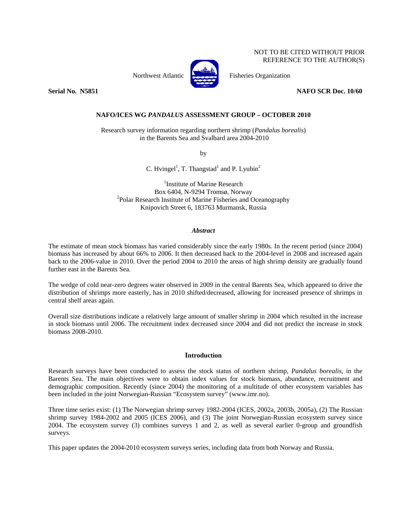NOT TO BE CITED WITHOUT PRIOR REFERENCE TO THE AUTHOR(S)

Northwest Atlantic Fisheries Organization



**Serial No. N5851 NAFO SCR Doc. 10/60** 

# **NAFO/ICES WG** *PANDALUS* **ASSESSMENT GROUP – OCTOBER 2010**

Research survey information regarding northern shrimp (*Pandalus borealis*) in the Barents Sea and Svalbard area 2004-2010

by

C. Hvingel<sup>1</sup>, T. Thangstad<sup>1</sup> and P. Lyubin<sup>2</sup>

<sup>1</sup>Institute of Marine Research Box 6404, N-9294 Tromsø, Norway 2 <sup>2</sup>Polar Research Institute of Marine Fisheries and Oceanography Knipovich Street 6, 183763 Murmansk, Russia

# *Abstract*

The estimate of mean stock biomass has varied considerably since the early 1980s. In the recent period (since 2004) biomass has increased by about 66% to 2006. It then decreased back to the 2004-level in 2008 and increased again back to the 2006-value in 2010. Over the period 2004 to 2010 the areas of high shrimp density are gradually found further east in the Barents Sea.

The wedge of cold near-zero degrees water observed in 2009 in the central Barents Sea, which appeared to drive the distribution of shrimps more easterly, has in 2010 shifted/decreased, allowing for increased presence of shrimps in central shelf areas again.

Overall size distributions indicate a relatively large amount of smaller shrimp in 2004 which resulted in the increase in stock biomass until 2006. The recruitment index decreased since 2004 and did not predict the increase in stock biomass 2008-2010.

# **Introduction**

Research surveys have been conducted to assess the stock status of northern shrimp, *Pandalus borealis*, in the Barents Sea. The main objectives were to obtain index values for stock biomass, abundance, recruitment and demographic composition. Recently (since 2004) the monitoring of a multitude of other ecosystem variables has been included in the joint Norwegian-Russian "Ecosystem survey" (www.imr.no).

Three time series exist: (1) The Norwegian shrimp survey 1982-2004 (ICES, 2002a, 2003b, 2005a), (2) The Russian shrimp survey 1984-2002 and 2005 (ICES 2006), and (3) The joint Norwegian-Russian ecosystem survey since 2004. The ecosystem survey (3) combines surveys 1 and 2, as well as several earlier 0-group and groundfish surveys.

This paper updates the 2004-2010 ecosystem surveys series, including data from both Norway and Russia.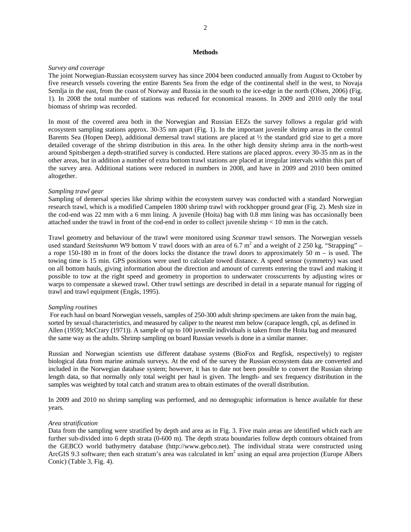### **Methods**

# *Survey and coverage*

The joint Norwegian-Russian ecosystem survey has since 2004 been conducted annually from August to October by five research vessels covering the entire Barents Sea from the edge of the continental shelf in the west, to Novaja Semlja in the east, from the coast of Norway and Russia in the south to the ice-edge in the north (Olsen, 2006) (Fig. 1). In 2008 the total number of stations was reduced for economical reasons. In 2009 and 2010 only the total biomass of shrimp was recorded.

In most of the covered area both in the Norwegian and Russian EEZs the survey follows a regular grid with ecosystem sampling stations approx. 30-35 nm apart (Fig. 1). In the important juvenile shrimp areas in the central Barents Sea (Hopen Deep), additional demersal trawl stations are placed at  $\frac{1}{2}$  the standard grid size to get a more detailed coverage of the shrimp distribution in this area. In the other high density shrimp area in the north-west around Spitsbergen a depth-stratified survey is conducted. Here stations are placed approx. every 30-35 nm as in the other areas, but in addition a number of extra bottom trawl stations are placed at irregular intervals within this part of the survey area. Additional stations were reduced in numbers in 2008, and have in 2009 and 2010 been omitted altogether.

# *Sampling trawl gear*

Sampling of demersal species like shrimp within the ecosystem survey was conducted with a standard Norwegian research trawl, which is a modified Campelen 1800 shrimp trawl with rockhopper ground gear (Fig. 2). Mesh size in the cod-end was 22 mm with a 6 mm lining. A juvenile (Hoita) bag with 0.8 mm lining was has occasionally been attached under the trawl in front of the cod-end in order to collect juvenile shrimp < 10 mm in the catch.

Trawl geometry and behaviour of the trawl were monitored using *Scanmar* trawl sensors. The Norwegian vessels used standard *Steinshamn* W9 bottom V trawl doors with an area of 6.7 m<sup>2</sup> and a weight of 2 250 kg. "Strapping" – a rope 150-180 m in front of the doors locks the distance the trawl doors to approximately 50 m – is used. The towing time is 15 min. GPS positions were used to calculate towed distance. A speed sensor (symmetry) was used on all bottom hauls, giving information about the direction and amount of currents entering the trawl and making it possible to tow at the right speed and geometry in proportion to underwater crosscurrents by adjusting wires or warps to compensate a skewed trawl. Other trawl settings are described in detail in a separate manual for rigging of trawl and trawl equipment (Engås, 1995).

### *Sampling routines*

 For each haul on board Norwegian vessels, samples of 250-300 adult shrimp specimens are taken from the main bag, sorted by sexual characteristics, and measured by caliper to the nearest mm below (carapace length, cpl, as defined in Allen (1959); McCrary (1971)). A sample of up to 100 juvenile individuals is taken from the Hoita bag and measured the same way as the adults. Shrimp sampling on board Russian vessels is done in a similar manner.

Russian and Norwegian scientists use different database systems (BioFox and Regfisk, respectively) to register biological data from marine animals surveys. At the end of the survey the Russian ecosystem data are converted and included in the Norwegian database system; however, it has to date not been possible to convert the Russian shrimp length data, so that normally only total weight per haul is given. The length- and sex frequency distribution in the samples was weighted by total catch and stratum area to obtain estimates of the overall distribution.

In 2009 and 2010 no shrimp sampling was performed, and no demographic information is hence available for these years.

### *Area stratification*

Data from the sampling were stratified by depth and area as in Fig. 3. Five main areas are identified which each are further sub-divided into 6 depth strata (0-600 m). The depth strata boundaries follow depth contours obtained from the GEBCO world bathymetry database (http://www.gebco.net). The individual strata were constructed using ArcGIS 9.3 software; then each stratum's area was calculated in  $km<sup>2</sup>$  using an equal area projection (Europe Albers Conic) (Table 3, Fig. 4).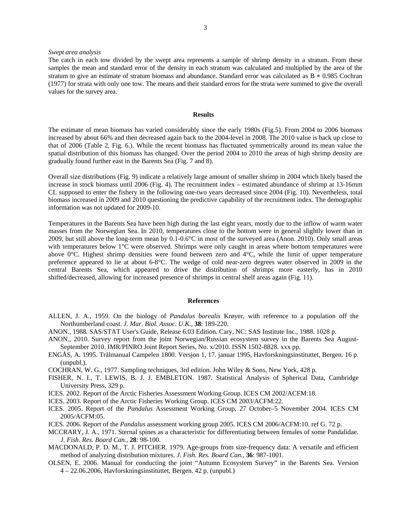### *Swept area analysis*

#### **Results**

The estimate of mean biomass has varied considerably since the early 1980s (Fig.5). From 2004 to 2006 biomass increased by about 66% and then decreased again back to the 2004-level in 2008. The 2010 value is back up close to that of 2006 (Table 2, Fig. 6.). While the recent biomass has fluctuated symmetrically around its mean value the spatial distribution of this biomass has changed. Over the period 2004 to 2010 the areas of high shrimp density are gradually found further east in the Barents Sea (Fig. 7 and 8).

Overall size distributions (Fig. 9) indicate a relatively large amount of smaller shrimp in 2004 which likely based the increase in stock biomass until 2006 (Fig. 4). The recruitment index – estimated abundance of shrimp at 13-16mm CL supposed to enter the fishery in the following one-two years decreased since 2004 (Fig. 10). Nevertheless, total biomass increased in 2009 and 2010 questioning the predictive capability of the recruitment index. The demographic information was not updated for 2009-10.

Temperatures in the Barents Sea have been high during the last eight years, mostly due to the inflow of warm water masses from the Norwegian Sea. In 2010, temperatures close to the bottom were in general slightly lower than in 2009, but still above the long-term mean by 0.1-0.6°C in most of the surveyed area (Anon. 2010). Only small areas with temperatures below 1<sup>°</sup>C were observed. Shrimps were only caught in areas where bottom temperatures were above  $0^{\circ}$ C. Highest shrimp densities were found between zero and  $4^{\circ}$ C, while the limit of upper temperature preference appeared to lie at about 6-8°C. The wedge of cold near-zero degrees water observed in 2009 in the central Barents Sea, which appeared to drive the distribution of shrimps more easterly, has in 2010 shifted/decreased, allowing for increased presence of shrimps in central shelf areas again (Fig. 11).

#### **References**

- ALLEN, J. A., 1959. On the biology of *Pandalus borealis* Krøyer, with reference to a population off the Northumberland coast. *J. Mar. Biol. Assoc. U.K.*, **38**: 189-220.
- ANON., 1988. SAS/STAT User's Guide, Release 6.03 Edition. Cary, NC: SAS Institute Inc., 1988. 1028 p.
- ANON., 2010. Survey report from the joint Norwegian/Russian ecosystem survey in the Barents Sea August-September 2010. IMR/PINRO Joint Report Series, No. x/2010. ISSN 1502-8828. xxx pp.
- ENGÅS, A. 1995. Trålmanual Campelen 1800. Versjon 1, 17. januar 1995, Havforskningsinstituttet, Bergen. 16 p. (unpubl.).
- COCHRAN, W. G., 1977. Sampling techniques, 3rd edition. John Wiley & Sons, New York, 428 p.
- FISHER, N. I., T. LEWIS, B. J. J. EMBLETON. 1987. Statistical Analysis of Spherical Data, Cambridge University Press, 329 p.
- ICES. 2002. Report of the Arctic Fisheries Assessment Working Group. ICES CM 2002/ACFM:18.
- ICES. 2003. Report of the Arctic Fisheries Working Group. ICES CM 2003/ACFM:22.
- ICES. 2005. Report of the *Pandalus* Assessment Working Group, 27 October–5 November 2004. ICES CM 2005/ACFM:05.
- ICES. 2006. Report of the *Pandalus* assessment working group 2005. ICES CM 2006/ACFM:10. ref G. 72 p.
- MCCRARY, J. A., 1971. Sternal spines as a characteristic for differentiating between females of some Pandalidae. *J. Fish. Res. Board Can.*, **28**: 98-100.
- MACDONALD, P. D. M., T. J. PITCHER. 1979. Age-groups from size-frequency data: A versatile and efficient method of analyzing distribution mixtures. *J. Fish. Res. Board Can.*, **36**: 987-1001.
- OLSEN, E. 2006. Manual for conducting the joint "Autumn Ecosystem Survey" in the Barents Sea. Version 4 – 22.06.2006, Havforskningsinstituttet, Bergen. 42 p. (unpubl.)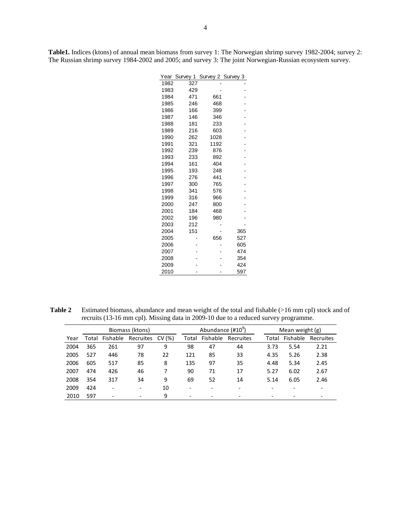**Table1.** Indices (ktons) of annual mean biomass from survey 1: The Norwegian shrimp survey 1982-2004; survey 2: The Russian shrimp survey 1984-2002 and 2005; and survey 3: The joint Norwegian-Russian ecosystem survey.

| Year | Survey 1 | Survey 2 | Survey 3 |
|------|----------|----------|----------|
| 1982 | 327      |          |          |
| 1983 | 429      |          |          |
| 1984 | 471      | 661      |          |
| 1985 | 246      | 468      |          |
| 1986 | 166      | 399      |          |
| 1987 | 146      | 346      |          |
| 1988 | 181      | 233      |          |
| 1989 | 216      | 603      |          |
| 1990 | 262      | 1028     |          |
| 1991 | 321      | 1192     |          |
| 1992 | 239      | 876      |          |
| 1993 | 233      | 892      |          |
| 1994 | 161      | 404      |          |
| 1995 | 193      | 248      |          |
| 1996 | 276      | 441      |          |
| 1997 | 300      | 765      |          |
| 1998 | 341      | 576      |          |
| 1999 | 316      | 966      |          |
| 2000 | 247      | 800      |          |
| 2001 | 184      | 468      |          |
| 2002 | 196      | 980      |          |
| 2003 | 212      |          |          |
| 2004 | 151      |          | 365      |
| 2005 |          | 656      | 527      |
| 2006 |          |          | 605      |
| 2007 |          |          | 474      |
| 2008 |          |          | 354      |
| 2009 |          |          | 424      |
| 2010 |          |          | 597      |

Table 2 Estimated biomass, abundance and mean weight of the total and fishable (>16 mm cpl) stock and of recruits (13-16 mm cpl). Missing data in 2009-10 due to a reduced survey programme.

|      |       |                          | Biomass (ktons)          |        |                          | Abundance (#10 <sup>9</sup> ) |           | Mean weight (g) |       |          |           |  |  |
|------|-------|--------------------------|--------------------------|--------|--------------------------|-------------------------------|-----------|-----------------|-------|----------|-----------|--|--|
| Year | Total | Fishable                 | Recruites                | CV (%) | Total                    | Fishable                      | Recruites |                 | Total | Fishable | Recruites |  |  |
| 2004 | 365   | 261                      | 97                       | 9      | 98                       | 47                            | 44        |                 | 3.73  | 5.54     | 2.21      |  |  |
| 2005 | 527   | 446                      | 78                       | 22     | 121                      | 85                            | 33        |                 | 4.35  | 5.26     | 2.38      |  |  |
| 2006 | 605   | 517                      | 85                       | 8      | 135                      | 97                            | 35        |                 | 4.48  | 5.34     | 2.45      |  |  |
| 2007 | 474   | 426                      | 46                       |        | 90                       | 71                            | 17        |                 | 5.27  | 6.02     | 2.67      |  |  |
| 2008 | 354   | 317                      | 34                       | 9      | 69                       | 52                            | 14        |                 | 5.14  | 6.05     | 2.46      |  |  |
| 2009 | 424   | $\overline{\phantom{0}}$ | $\overline{\phantom{0}}$ | 10     | $\overline{\phantom{0}}$ |                               |           |                 |       |          |           |  |  |
| 2010 | 597   | $\overline{\phantom{0}}$ | $\overline{\phantom{0}}$ | 9      |                          |                               |           |                 |       |          |           |  |  |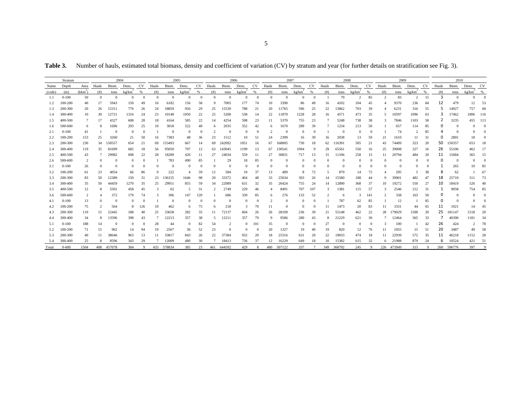Table 3. Number of hauls, estimated total biomass, density and coefficient of variation (CV) by stratum and year (for further details on stratification see Fig. 3).

|        | Stratum   |                |                | 2004     |                    |               |          | 2005       |                    |     | 2006           |              |                  |                        | 2007     |          |                    |          | 2008           |          |                    |               |                | 2009   |                  | 2010      |       |            |                    |          |
|--------|-----------|----------------|----------------|----------|--------------------|---------------|----------|------------|--------------------|-----|----------------|--------------|------------------|------------------------|----------|----------|--------------------|----------|----------------|----------|--------------------|---------------|----------------|--------|------------------|-----------|-------|------------|--------------------|----------|
| Name   | Depth     | Area           | Hauls          | Biom.    | Dens.              | <b>CV</b>     | Hauls    | Biom.      | Dens.              | CV  | Hauls          | Biom.        | Dens.            | CV                     | Hauls    | Biom.    | Dens.              | CV       | Hauls          | Biom.    | Dens.              | <b>CV</b>     | Hauls          | Biom.  | Dens.            | <b>CV</b> | Hauls | Biom.      | Dens.              | CV       |
| (code) | (m)       | $(kkm^2)$      | (# )           | tons     | kg/km <sup>4</sup> | $\frac{9}{6}$ | (# )     | tons       | kg/km <sup>2</sup> | %   | (# )           | tons         | $k\text{g}/km^2$ | $\frac{0}{6}$          | (# )     | tons     | kg/km <sup>2</sup> | %        | (# )           | tons     | kg/km <sup>-</sup> | $\frac{9}{6}$ | (# )           | tons   | $k\text{g}/km^2$ | %         | (# )  | tons       | kg/km <sup>2</sup> | %        |
| 1.1    | $0 - 100$ | 50             | $\Omega$       | $\Omega$ | $\Omega$           | $\Omega$      | $\Omega$ | $\Omega$   | $\overline{0}$     | -0  | $\Omega$       | $\mathbf{0}$ | $\mathbf{0}$     |                        | $\Omega$ | $\Omega$ | $\Omega$           | $\Omega$ |                | 79       | 2                  | 85            | $\overline{c}$ | 83     | $\overline{2}$   | 15        | 3     | $\Omega$   | $\Omega$           | $\Omega$ |
| 1.2    | 100-200   | 40             | 17             | 5943     | 150                | 49            | 16       | 6182       | 156                | 58  | 9              | 7005         | 177              | 74                     | 10       | 3390     | 86                 | 49       | 16             | 4102     | 104                | 45            |                | 9370   | 236              | 84        | 12    | 479        | 12                 | 53       |
| 1.3    | 200-300   | 20             | 26             | 15311    | 776                | 26            | 24       | 18859      | 956                | 29  | 25             | 15539        | 788              | 21                     | 20       | 11765    | 596                | 25       | 22             | 13862    | 703                | 39            |                | 6231   | 316              | 55        | 5     | 14927      | 757                | 68       |
| 1.4    | 300-400   | 10             | 30             | 12721    | 1316               | 24            | 23       | 10148      | 1050               | 22  | 25             | 5200         | 538              | -14                    | 22       | 11870    | 1228               | 28       | 16             | 4571     | 473                | 35            | -5             | 10597  | 1096             | 63        |       | 17462      | 1806               | 116      |
| 1.5    | 400-500   | 7              | 17             | 4327     | 608                | 28            | 18       | 4164       | 585                | 22  | 14             | 4254         | 598              | 23                     | 11       | 5370     | 755                | 23       |                | 5248     | 738                | 38            |                | 7846   | 1103             | 58        |       | 3235       | 455                | 113      |
| 1.6    | 500-600   | 6              | 8              | 1696     | 293                | 25            | 10       | 3018       | 522                | 40  | 6              | 2035         | 352              | 42                     |          | 1670     | 289                | 39       |                | 1234     | 213                | 50            |                | 657    | 114              | 85        |       | $\Omega$   |                    |          |
| 2.1    | $0 - 100$ | 41             |                | $\Omega$ | $\Omega$           |               |          | $\Omega$   | $\overline{0}$     |     | $\overline{2}$ | $\Omega$     | $\Omega$         |                        |          |          | $\Omega$           |          |                | $\Omega$ | $\Omega$           | $\Omega$      |                | 74     | 2                | 85        |       |            | $\Omega$           |          |
| 2.2    | 100-200   | 153            | 25             | 3260     | 21                 | 50            | 16       | 7383       | 48                 | 36  | 23             | 1512         | 10               | 51                     | 24       | 2399     | 16                 | 39       | 16             | 2038     | 13                 | 59            | 21             | 1610   | -11              | 31        |       | 2801       | 18                 |          |
| 2.3    | 200-300   | 230            | 34             | 150557   | 654                | 21            | 69       | 153493     | 667                | 14  | 69             | 242092       | 1051             | 16                     | 67       | 168005   | 730                | 18       | 62             | 116391   | 505                | 21            | 43             | 74409  | 323              | 20        | 50    | 150357     | 653                |          |
| 2.4    | 300-400   | 119            | 35             | 81699    | 685                | 18            | 56       | 95050      | 797                | 12  | 63             | 143045       | 1199             | 13                     | 67       | 130541   | 1094               | 9        | 29             | 65561    | 550                | 16            | 25             | 39008  | 327              | 16        | 26    | 55106      | 462                |          |
| 2.5    | 400-500   | 43             |                | 29982    | 698                | 22            | 28       | 18289      | 426                | 11  | 27             | 24034        | 559              | -11                    | 27       | 30831    | 717                | 13       | 15             | 11106    | 258                | 15            |                | 20794  | 484              | 20        | 11    | 15684      | 365                |          |
| 2.6    | 500-600   | $\overline{2}$ | $\Omega$       | $\Omega$ |                    | $\Omega$      |          | 783        | 490                | 85  |                | 29           | 18               | 85                     |          |          | $\Omega$           |          |                | $\bf{0}$ | $\Omega$           | $\Omega$      | $\Omega$       | 0      | 0                | $\Omega$  |       | $\bf{0}$   | $\Omega$           |          |
| 3.1    | $0 - 100$ | 26             | $\mathbf{0}$   | $\Omega$ |                    |               | $\Omega$ | $\Omega$   | $\bf{0}$           |     | $\Omega$       | $\Omega$     | $\Omega$         |                        |          |          | $\Omega$           |          |                |          |                    | $\Omega$      | $\Omega$       |        | 0                |           |       | 265        | 10                 | 83       |
| 3.2    | 100-200   | 61             | 23             | 4054     | 66                 | 86            | 9        | 222        | $\overline{4}$     | 59  | 12             | 584          | 10               | 37                     | 13       | 489      | -8                 | 72       |                | 870      | 14                 | 72            |                | 295    | 5                | 38        | 8     | 62         |                    | 6        |
| 3.3    | 200-300   | 83             | 50             | 12389    | 150                | 31            | 23       | 136155     | 1646               | 98  | 20             | 33372        | 404              | 48                     | 33       | 25034    | 303                | 26       |                | 15580    | 188                | 44            | 9              | 39901  | 482              | 47        | 18    | 25710      | 311                | 73       |
| 3.4    | 300-400   | 35             | 50             | 44459    | 1270               | 35            | 25       | 29951      | 855                | 59  | 34             | 22089        | 631              | 32                     | 35       | 26424    | 755                | 24       | 14             | 12890    | 368                | 37            | 10             | 19272  | 550              | 27        | 10    | 18419      | 526                | 40       |
| 3.5    | 400-500   | 12             | 8              | 5501     | 458                | 45            | 3        | 62         | 5                  | 31  |                | 2749         | 229              | 46                     | 4        | 8491     | 707                | 107      |                | 1381     | 115                | 57            | 3              | 2546   | 212              | -31       |       | 9058       | 754                | 85       |
| 3.6    | 500-600   |                |                | 372      | 179                | 74            |          | 306        | 147                | 120 |                | 686          | 330              | 85                     | 6        | 276      | 133                | 52       |                | 6        | 3                  | 141           |                | 338    | 163              | 50        |       |            |                    |          |
| 4.1    | $0 - 100$ | 13             | $\Omega$       | $\Omega$ |                    |               |          | $\Omega$   | $\Omega$           |     |                | $\Omega$     | $\Omega$         |                        |          |          | $\Omega$           |          |                | 787      | 62                 | 85            |                | 12     |                  | 85        |       |            | $\Omega$           |          |
| 4.2    | 100-200   | 75             | $\overline{c}$ | 564      | 8                  | 126           | 10       | 462        | 6                  | 75  | 6              | 218          | 3                | 70                     | 11       |          | $\Omega$           |          |                | 1473     | 20                 | 83            |                | 3331   | 44               | 65        | 11    | 1021       | 14                 |          |
| 4.3    | 200-300   | 119            | 15             | 22445    | 188                | 40            | 25       | 33658      | 282                | 35  |                | 72137        | 604              | 26                     | 26       | 28109    | 236                | 39       | 21             | 55148    | 462                | 22            | 28             | 179029 | 1500             | 20        | 25    | 181147     | 1518               | 20       |
| 4.4    | 300-400   | 34             | 8              | 13596    | 398                | 43            |          | 12213      | 357                | 38  | -5             | 12211        | 357              | 79                     | 9        | 9586     | 280                | 43       |                | 21229    | 621                | 30            |                | 12464  | 365              | 33        |       | 40390      | 1181               | -34      |
| 5.1    | $0 - 100$ | 188            | 14             | $\Omega$ |                    |               | 28       | 44         | $\bf{0}$           | 82  | 54             |              | $\Omega$         | 101                    | 35       |          | $\overline{0}$     | $\Omega$ | $\overline{2}$ | $\theta$ | $\Omega$           | $\Omega$      |                | 100    |                  | 42        | 26    | 424        |                    | 78       |
| 5.2    | 100-200   | 71             | 15             | 962      | 14                 | 94            | 19.      | 2567       | 36                 | 52  | 23             | $\Omega$     | $\Omega$         |                        | 20       | 1327     | 19                 | 40       | 19             | 820      | 12                 | 76            |                | 1055   | 15               | 51        | 20    | 3487       | 49                 | .58      |
| 5.3    | 200-300   | 40             | 11             | 38646    | 963                | 13            |          | 33817      | 843                | 26  | 22             | 37384        | 932              | 20                     | 18       | 25316    | 631                | 20       | 22             | 19033    | 474                | 18            |                | 22939  | 572              | 35        | 11    | 46218      | 1152               | 28       |
| 5.4    | 300-400   | 25             |                | 8596     | 343                | 29            |          | 12009      | 480                | 30  |                | 18413        | 736              | 37                     | 12       | 16229    | 649                | 18       | 10             | 15382    | 615                | 32            | 6              | 21988  | 879              | -24       | 6     | 10524      | 421                | 51       |
| Total  | $0 - 600$ | 1504           | 408            | 457078   | 304                | Q             |          | 433 578834 | 385                | 23  | 461            | 644592       | 429              | $\mathbf{\mathcal{R}}$ | 480      | 507122   | 337                |          | 349            | 368792   | 245                | $\mathbf Q$   | 226            | 473949 | 315              | $\Omega$  |       | 260 596776 | 397                |          |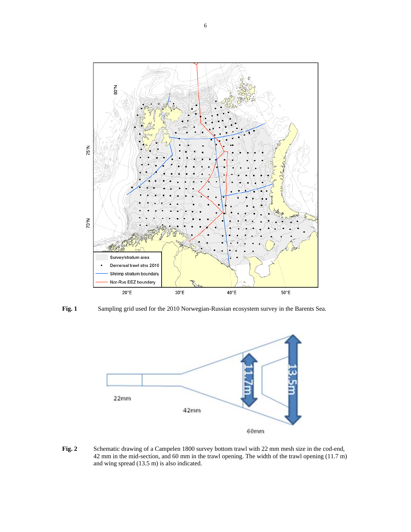

**Fig. 1** Sampling grid used for the 2010 Norwegian-Russian ecosystem survey in the Barents Sea.



Fig. 2 Schematic drawing of a Campelen 1800 survey bottom trawl with 22 mm mesh size in the cod-end, 42 mm in the mid-section, and 60 mm in the trawl opening. The width of the trawl opening (11.7 m) and wing spread (13.5 m) is also indicated.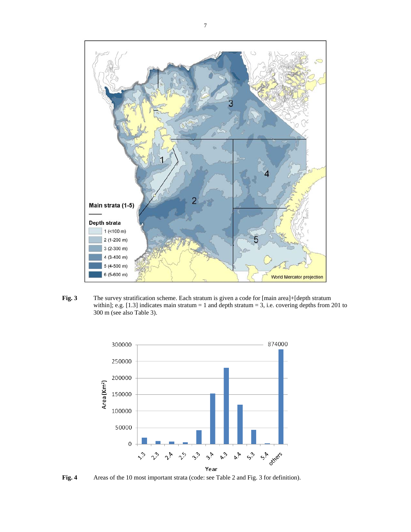

**Fig. 3** The survey stratification scheme. Each stratum is given a code for [main area]+[depth stratum within]; e.g.  $[1.3]$  indicates main stratum = 1 and depth stratum = 3, i.e. covering depths from 201 to 300 m (see also Table 3).



**Fig. 4** Areas of the 10 most important strata (code: see Table 2 and Fig. 3 for definition).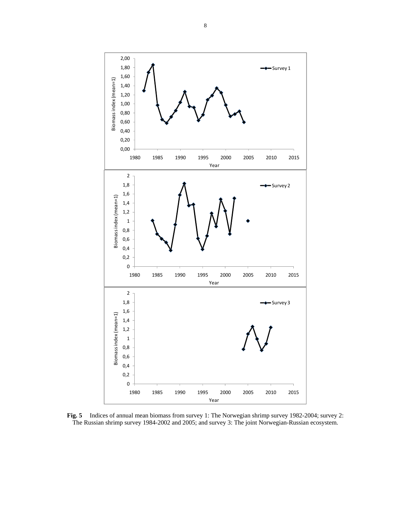

**Fig. 5** Indices of annual mean biomass from survey 1: The Norwegian shrimp survey 1982-2004; survey 2: The Russian shrimp survey 1984-2002 and 2005; and survey 3: The joint Norwegian-Russian ecosystem.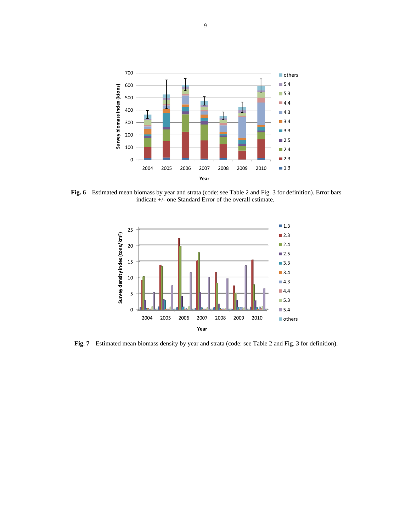

**Fig. 6** Estimated mean biomass by year and strata (code: see Table 2 and Fig. 3 for definition). Error bars indicate +/- one Standard Error of the overall estimate.



**Fig. 7** Estimated mean biomass density by year and strata (code: see Table 2 and Fig. 3 for definition).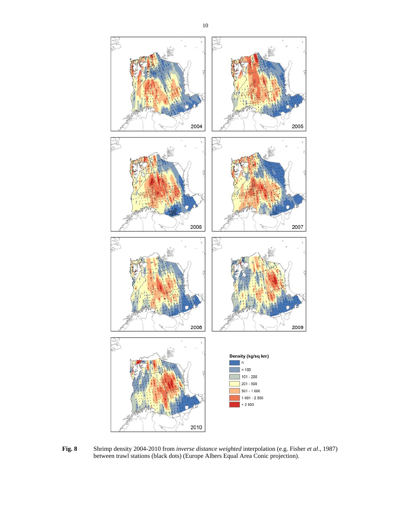

**Fig. 8** Shrimp density 2004-2010 from *inverse distance weighted* interpolation (e.g. Fisher *et al*., 1987) between trawl stations (black dots) (Europe Albers Equal Area Conic projection).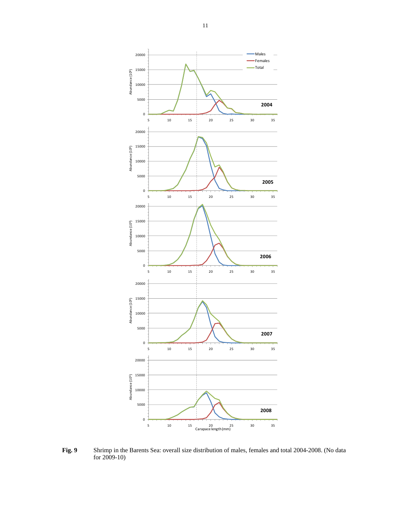

**Fig. 9** Shrimp in the Barents Sea: overall size distribution of males, females and total 2004-2008. (No data for 2009-10)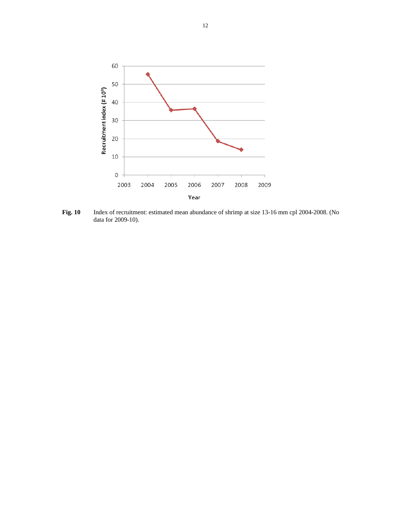

**Fig. 10** Index of recruitment: estimated mean abundance of shrimp at size 13-16 mm cpl 2004-2008. (No data for 2009-10).